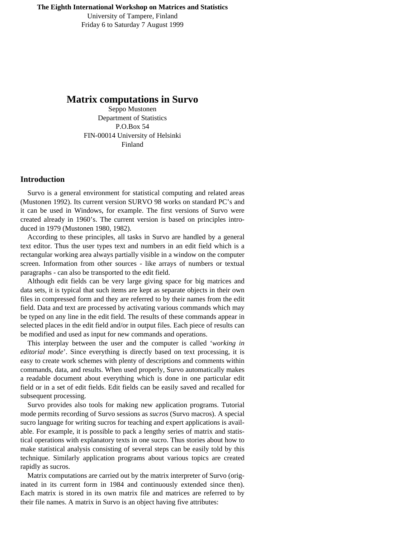University of Tampere, Finland Friday 6 to Saturday 7 August 1999

# **Matrix computations in Survo**

Seppo Mustonen Department of Statistics P.O.Box 54 FIN-00014 University of Helsinki Finland

## **Introduction**

 Survo is a general environment for statistical computing and related areas (Mustonen 1992). Its current version SURVO 98 works on standard PC's and it can be used in Windows, for example. The first versions of Survo were created already in 1960's. The current version is based on principles introduced in 1979 (Mustonen 1980, 1982).

 According to these principles, all tasks in Survo are handled by a general text editor. Thus the user types text and numbers in an edit field which is a rectangular working area always partially visible in a window on the computer screen. Information from other sources - like arrays of numbers or textual paragraphs - can also be transported to the edit field.

 Although edit fields can be very large giving space for big matrices and data sets, it is typical that such items are kept as separate objects in their own files in compressed form and they are referred to by their names from the edit field. Data and text are processed by activating various commands which may be typed on any line in the edit field. The results of these commands appear in selected places in the edit field and/or in output files. Each piece of results can be modified and used as input for new commands and operations.

 This interplay between the user and the computer is called '*working in editorial mode*'. Since everything is directly based on text processing, it is easy to create work schemes with plenty of descriptions and comments within commands, data, and results. When used properly, Survo automatically makes a readable document about everything which is done in one particular edit field or in a set of edit fields. Edit fields can be easily saved and recalled for subsequent processing.

 Survo provides also tools for making new application programs. Tutorial mode permits recording of Survo sessions as *sucros* (Survo macros). A special sucro language for writing sucros for teaching and expert applications is available. For example, it is possible to pack a lengthy series of matrix and statistical operations with explanatory texts in one sucro. Thus stories about how to make statistical analysis consisting of several steps can be easily told by this technique. Similarly application programs about various topics are created rapidly as sucros.

 Matrix computations are carried out by the matrix interpreter of Survo (originated in its current form in 1984 and continuously extended since then). Each matrix is stored in its own matrix file and matrices are referred to by their file names. A matrix in Survo is an object having five attributes: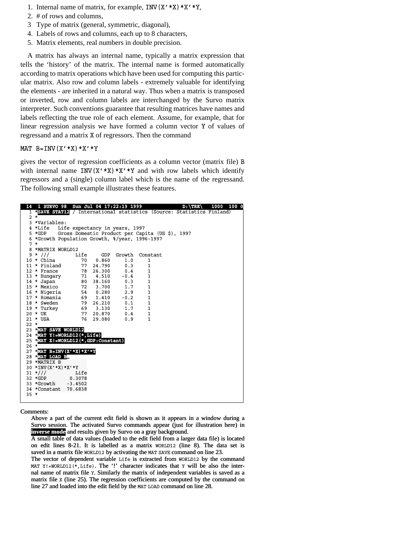- 1. Internal name of matrix, for example,  $INV(X' * X) * X' * Y$ ,
- 2. # of rows and columns,
- 3 Type of matrix (general, symmetric, diagonal),
- 4. Labels of rows and columns, each up to 8 characters,
- 5. Matrix elements, real numbers in double precision.

 A matrix has always an internal name, typically a matrix expression that tells the 'history' of the matrix. The internal name is formed automatically according to matrix operations which have been used for computing this particular matrix. Also row and column labels - extremely valuable for identifying the elements - are inherited in a natural way. Thus when a matrix is transposed or inverted, row and column labels are interchanged by the Survo matrix interpreter. Such conventions guarantee that resulting matrices have names and labels reflecting the true role of each element. Assume, for example, that for linear regression analysis we have formed a column vector Y of values of regressand and a matrix X of regressors. Then the command

#### MAT  $B=INV(X' * X) * X' * Y$

gives the vector of regression coefficients as a column vector (matrix file) B with internal name INV( $X' * X$ ) \* $X' * Y$  and with row labels which identify regressors and a (single) column label which is the name of the regressand. The following small example illustrates these features.

| 14     | <u>1 SURVO 98</u> Sun Jul 04 17:22:19 1999                  |        |            |                                |                          | $D$ : $\{TRE\}$                                                        | 1000 100 0 |
|--------|-------------------------------------------------------------|--------|------------|--------------------------------|--------------------------|------------------------------------------------------------------------|------------|
|        |                                                             |        |            |                                |                          | 1 *SAVE STAT12 / International statistics (Source: Statistics Finland) |            |
|        | $2 *$                                                       |        |            |                                |                          |                                                                        |            |
|        | 3 *Variables:                                               |        |            |                                |                          |                                                                        |            |
|        | 4 *Life                                                     |        |            | Life expectancy in years, 1997 |                          |                                                                        |            |
|        | 5 *GDP Gross Domestic Product per Capita (US \$), 1997      |        |            |                                |                          |                                                                        |            |
|        | 6 *Growth Population Growth, %/year, 1996-1997              |        |            |                                |                          |                                                                        |            |
| $7 *$  |                                                             |        |            |                                |                          |                                                                        |            |
|        | 8 *MATRIX WORLD12                                           |        |            |                                |                          |                                                                        |            |
|        | $9 * 111$                                                   |        |            |                                | Life GDP Growth Constant |                                                                        |            |
|        | 10 * China                                                  |        | 70   0.860 | 1.0                            | 1                        |                                                                        |            |
|        | 11 * Finland 77 24.790 0.3                                  |        |            |                                | $\mathbf{1}$             |                                                                        |            |
|        | 12 * France 78 26.300 0.4                                   |        |            |                                | $\mathbf{1}$             |                                                                        |            |
|        |                                                             |        |            |                                |                          |                                                                        |            |
|        |                                                             |        |            |                                |                          |                                                                        |            |
|        | 15 * Mexico 72 3.700 1.7 1                                  |        |            |                                |                          |                                                                        |            |
|        | 16 * Nigeria 54 0.280 2.9 1<br>17 * Romania 69 1.410 -0.2   |        |            |                                | $\mathbf{1}$             |                                                                        |            |
|        |                                                             |        |            |                                |                          |                                                                        |            |
|        | 18 * Sweden 79 26.210 0.1 1<br>$19 * Turkey$ 69 3.130 1.7 1 |        |            |                                |                          |                                                                        |            |
|        | $20 * UK$                                                   |        |            | 77 20.870 0.4                  | -1                       |                                                                        |            |
|        | $21 * USA$                                                  |        |            | 76 29.080 0.9                  | $\mathbf{1}$             |                                                                        |            |
| $22 *$ |                                                             |        |            |                                |                          |                                                                        |            |
|        | 23 *MAT SAVE WORLD12                                        |        |            |                                |                          |                                                                        |            |
|        | 24 *MAT Y!=WORLD12(*,Life)                                  |        |            |                                |                          |                                                                        |            |
|        | 25 EMAT X!=WORLD12(*,GDP:Constant)                          |        |            |                                |                          |                                                                        |            |
| $26 *$ |                                                             |        |            |                                |                          |                                                                        |            |
|        | 27 EMAT B=INV(X'*X)*X'*Y                                    |        |            |                                |                          |                                                                        |            |
|        | 28 *MAT LOAD B                                              |        |            |                                |                          |                                                                        |            |
|        | 29 *MATRIX B                                                |        |            |                                |                          |                                                                        |            |
|        | 30 *INV (X' * X) * X' * Y                                   |        |            |                                |                          |                                                                        |            |
|        | $31 \frac{*}{1}$                                            | Life   |            |                                |                          |                                                                        |            |
|        | 32 *GDP                                                     | 0.3078 |            |                                |                          |                                                                        |            |
|        | 33 *Growth -3.4502                                          |        |            |                                |                          |                                                                        |            |
|        | 34 *Constant 70.6838                                        |        |            |                                |                          |                                                                        |            |
| $35 *$ |                                                             |        |            |                                |                          |                                                                        |            |
|        |                                                             |        |            |                                |                          |                                                                        |            |

Comments:

Above a part of the current edit field is shown as it appears in a window during a Survo session. The activated Survo commands appear (just for illustration here) in **inverse mode** and results given by Survo on a gray background.

 $\overline{A}$  small table of data values (loaded to the edit field from a larger data file) is located on edit lines 8-21. It is labelled as a matrix WORLD12 (line 8). The data set is saved in a matrix file WORLD12 by activating the MAT SAVE command on line 23.

The vector of dependent variable Life is extracted from WORLD12 by the command MAT Y!=WORLD12(\*,Life). The '!' character indicates that Y will be also the internal name of matrix file *Y*. Similarly the matrix of independent variables is saved as a matrix file  $x$  (line 25). The regression coefficients are computed by the command on line 27 and loaded into the edit field by the MAT LOAD command on line 28.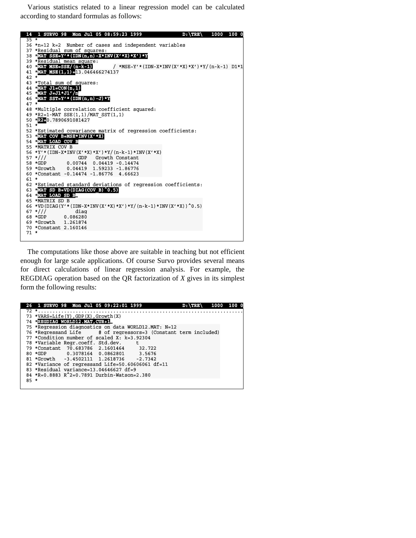Various statistics related to a linear regression model can be calculated according to standard formulas as follows:



 The computations like those above are suitable in teaching but not efficient enough for large scale applications. Of course Survo provides several means for direct calculations of linear regression analysis. For example, the REGDIAG operation based on the QR factorization of *X* gives in its simplest form the following results:

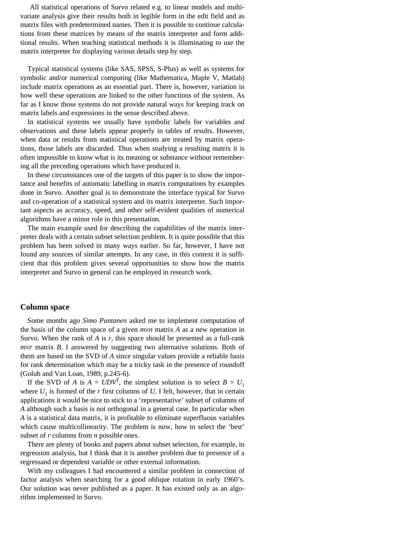All statistical operations of Survo related e.g. to linear models and multivariate analysis give their results both in legible form in the edit field and as matrix files with predetermined names. Then it is possible to continue calculations from these matrices by means of the matrix interpreter and form additional results. When teaching statistical methods it is illuminating to use the matrix interpreter for displaying various details step by step.

 Typical statistical systems (like SAS, SPSS, S-Plus) as well as systems for symbolic and/or numerical computing (like Mathematica, Maple V, Matlab) include matrix operations as an essential part. There is, however, variation in how well these operations are linked to the other functions of the system. As far as I know those systems do not provide natural ways for keeping track on matrix labels and expressions in the sense described above.

 In statistical systems we usually have symbolic labels for variables and observations and these labels appear properly in tables of results. However, when data or results from statistical operations are treated by matrix operations, those labels are discarded. Thus when studying a resulting matrix it is often impossible to know what is its meaning or substance without remembering all the preceding operations which have produced it.

 In these circumstances one of the targets of this paper is to show the importance and benefits of automatic labelling in matrix computations by examples done in Survo. Another goal is to demonstrate the interface typical for Survo and co-operation of a statistical system and its matrix interpreter. Such important aspects as accuracy, speed, and other self-evident qualities of numerical algorithms have a minor role in this presentation.

 The main example used for describing the capabilities of the matrix interpreter deals with a certain subset selection problem. It is quite possible that this problem has been solved in many ways earlier. So far, however, I have not found any sources of similar attempts. In any case, in this context it is sufficient that this problem gives several opportunities to show how the matrix interpreter and Survo in general can be employed in research work.

#### **Column space**

 Some months ago *Simo Puntanen* asked me to implement computation of the basis of the column space of a given  $m \times n$  matrix A as a new operation in Survo. When the rank of *A* is *r*, this space should be presented as a full-rank *m*×*r* matrix *B*. I answered by suggesting two alternative solutions. Both of them are based on the SVD of *A* since singular values provide a reliable basis for rank determination which may be a tricky task in the presence of roundoff (Golub and Van Loan, 1989, p.245-6).

If the SVD of *A* is  $A = UDV^T$ , the simplest solution is to select  $B = U_1$ where  $U_1$  is formed of the *r* first columns of  $U$ . I felt, however, that in certain applications it would be nice to stick to a 'representative' subset of columns of *A* although such a basis is not orthogonal in a general case. In particular when *A* is a statistical data matrix, it is profitable to eliminate superfluous variables which cause multicollinearity. The problem is now, how to select the 'best' subset of *r* columns from *n* possible ones.

 There are plenty of books and papers about subset selection, for example, in regression analysis, but I think that it is another problem due to presence of a regressand or dependent variable or other external information.

 With my colleagues I had encountered a similar problem in connection of factor analysis when searching for a good oblique rotation in early 1960's. Our solution was never published as a paper. It has existed only as an algorithm implemented in Survo.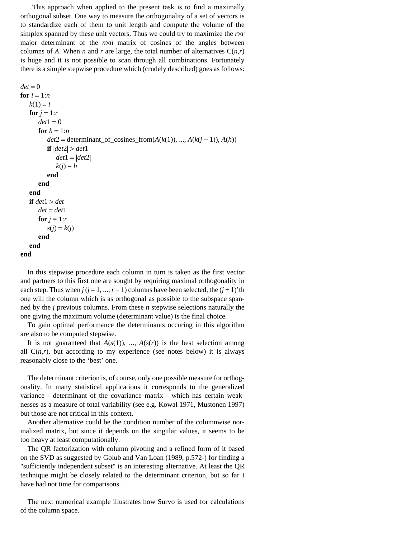This approach when applied to the present task is to find a maximally orthogonal subset. One way to measure the orthogonality of a set of vectors is to standardize each of them to unit length and compute the volume of the simplex spanned by these unit vectors. Thus we could try to maximize the *r*×*r* major determinant of the  $n \times n$  matrix of cosines of the angles between columns of *A*. When *n* and *r* are large, the total number of alternatives  $C(n,r)$ is huge and it is not possible to scan through all combinations. Fortunately there is a simple stepwise procedure which (crudely described) goes as follows:

 $det = 0$ **for**  $i = 1:n$  $k(1) = i$ **for**  $i = 1:r$  $det1 = 0$ for  $h = 1:n$  $det2 = det$ erminant\_of\_cosines\_from( $A(k(1))$ , ...,  $A(k(j-1))$ ,  $A(h)$ ) **if** |*det*2| > *det*1 *det*1 = |*det*2|  $k(j) = h$  **end end end if** *det*1 > *det*  $det = det1$ **for**  $j = 1:r$  $s(j) = k(j)$  **end end end**

 In this stepwise procedure each column in turn is taken as the first vector and partners to this first one are sought by requiring maximal orthogonality in each step. Thus when  $j$  ( $j = 1, ..., r - 1$ ) columns have been selected, the  $(j + 1)$ 'th one will the column which is as orthogonal as possible to the subspace spanned by the *j* previous columns. From these *n* stepwise selections naturally the one giving the maximum volume (determinant value) is the final choice.

 To gain optimal performance the determinants occuring in this algorithm are also to be computed stepwise.

It is not guaranteed that  $A(s(1))$ , ...,  $A(s(r))$  is the best selection among all  $C(n,r)$ , but according to my experience (see notes below) it is always reasonably close to the 'best' one.

 The determinant criterion is, of course, only one possible measure for orthogonality. In many statistical applications it corresponds to the generalized variance - determinant of the covariance matrix - which has certain weaknesses as a measure of total variability (see e.g. Kowal 1971, Mustonen 1997) but those are not critical in this context.

 Another alternative could be the condition number of the columnwise normalized matrix, but since it depends on the singular values, it seems to be too heavy at least computationally.

 The QR factorization with column pivoting and a refined form of it based on the SVD as suggested by Golub and Van Loan (1989, p.572-) for finding a "sufficiently independent subset" is an interesting alternative. At least the QR technique might be closely related to the determinant criterion, but so far I have had not time for comparisons.

 The next numerical example illustrates how Survo is used for calculations of the column space.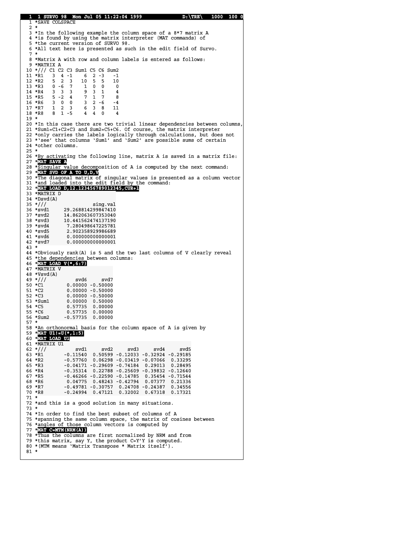**1 1 SURVO 98 Mon Jul 05 11:22:04 1999 D:\TRE\ 1000 100 0** 1 \*SAVE COLSPACE 1 \*SAVE COLSPACE 2 \* 3 \*In the following example the column space of a 8\*7 matrix A 4 \*is found by using the matrix interpreter (MAT commands) of 5 \*the current version of SURVO 98. 6 \*All text here is presented as such in the edit field of Survo. 7 \* 8 \*Matrix A with row and column labels is entered as follows: 9 \*MATRIX A 10 \*/// C1 C2 C3 Sum1 C5 C6 Sum2<br>11 \*R1 3 4 -1 6 2 -3 -1 11 \*R1 3 4 -1 6 2 -3 -1 12 \*R2 5 2 3 10 5 5 10 13 \*R3 0 -6 7 1 0 0 0<br>14 \*R4 3 3 3 9 3 1 4 14 \*R4 3 3 3 9 3 1 4<br>15 \*R5 5 -2 4 7 1 7 8  $15 * R5$  5 -2 4<br>16 \*R6 3 0 0 16 \*R6 3 0 0 3 2 -6 -4 17 \*R7 1 2 3 6 3 8 11 18 \*R8 8 1 -5 4 4 0 4 19 \* 20 \*In this case there are two trivial linear dependencies between columns, 21 \*Sum1=C1+C2+C3 and Sum2=C5+C6. Of course, the matrix interpreter 22 \*only carries the labels logically through calculations, but does not 23 \*'see' that columns 'Sum1' and 'Sum2' are possible sums of certain 24 \*other columns. 25 \*<br>26 \*By activating the following line, matrix A is saved in a matrix file: 27 \***MAT SAVE A** 28 \*Singular value decomposition of A is computed by the next command: 29 \***MAT SVD OF A TO U,D,V** 30 \*The diagonal matrix of singular values is presented as a column vector 31 \*and loaded into the edit field by the command: 32 \***MAT LOAD D,12.123456789012345,CUR+1** 33 \*MATRIX D  $34 *Dsvd(A)$ <br> $35 *///$ 35 \*/// sing.val<br>36 \*svd1 29.268814299847410 36 \*svd1 29.268814299847410<br>37 \*svd2 14.862063607353040 37 \*svd2 14.862063607353040<br>38 \*svd3 10.441562474137190 38 \*svd3 10.441562474137190<br>39 \*svd4 7.280498647225781 39 \*svd4 7.280498647225781<br>40 \*svd5 2.902358929986689 40 \*svd5 2.902358929986689<br>41 \*svd6 0.000000000000001 41 \*svd6 0.000000000000001<br>42 \*svd7 0.000000000000001 0.0000000000000001 43 \* 44 \*Obviously rank(A) is 5 and the two last columns of V clearly reveal 45 \*the dependencies between columns: 46 \***MAT LOAD V(\*,6:7)** 47 \*MATRIX V  $48 *Vsvd(A)$  $49 \frac{\star}{1}$  // svd6 svd7<br>50  $\star$ C1 0.00000 -0.50000  $50 * C1$  0.00000 -0.50000<br>51 \*C2 0.00000 -0.50000  $51 * C2$  0.00000 -0.50000<br>52 \*C3 0.00000 -0.50000 52 \*C3 0.00000 -0.50000<br>53 \*Sum1 0.00000 0.50000 53 \*Sum1 0.00000 0.50000<br>54 \*C5 0.57735 0.00000 54 \*C5 0.57735 0.00000 C5 0.00000 55 \*C6 0.57735 0.00000 C6 0.00000 56 \*Sum2 -0.57735 0.00000 57 \* 58 \*An orthonormal basis for the column space of A is given by 59 \***MAT U1!=U(\*,1:5)** 60 \***MAT LOAD U1** 61 \*MATRIX U1 62 \*/// svd1 svd2 svd3 svd4 svd5 /// svd2 svd5  $63 * R1 -0.11540 0.50599 -0.12033 -0.32924 -0.29185$ <br> $64 * R2 -0.57760 0.06298 -0.03419 -0.07066 0.33295$  64 \*R2 -0.57760 0.06298 -0.03419 -0.07066 0.33295 R2 0.06298 0.33295 65 \*R3 -0.04171 -0.29609 -0.74184 0.29013 0.28495<br>66 \*R4 -0.35314 0.22788 -0.25609 -0.39832 -0.12640 66 \*R4 -0.35314 0.22788 −0.25609 −0.39832 −0.12640<br>67 \*R5 -0.46266 −0.22590 −0.14785 0.35454 −0.71544 67 \*R5 -0.46266 -0.22590 -0.14785 0.35454 -0.71544 R5 -0.71544 68 \*R6 0.04775 0.48243 -0.42794 0.07377 0.21336 R6 0.48243 0.21336 69 \*R7 -0.49781 -0.30757 0.24708 -0.24387 0.34556 R7 0.34556 70 \*R8 -0.24994 0.47121 0.32002 0.67318 0.17321 R8 0.47121 0.17321 71 \* 72 \*and this is a good solution in many situations. 73 \* 74 \*In order to find the best subset of columns of A 75 \*spanning the same column space, the matrix of cosines between 76 \*angles of those column vectors is computed by 77 \***MAT C=MTM(NRM(A))** 78 \*Thus the columns are first normalized by NRM and from 79 \*this matrix, say Y, the product C=Y'Y is computed. 80 \*(MTM means 'Matrix Transpose \* Matrix itself'). 81 \*

 $\mathbb{R}$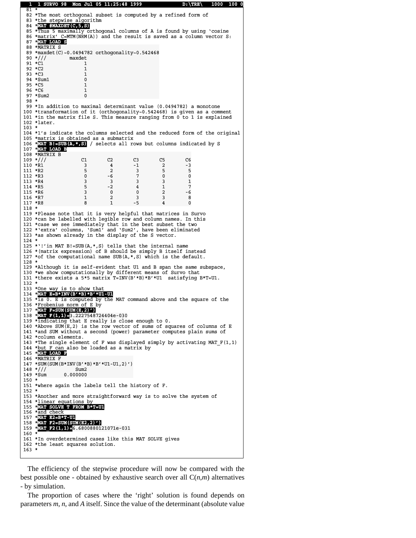```
 1 1 SURVO 98 Mon Jul 05 11:25:48 1999 D:\TRE\ 1000 100 0
  81 82 *The most orthogonal subset is computed by a refined form of
  83 *the stepwise algorithm
   84 *MAT #MAXDET(C,5,S)
 85 *Thus 5 maximally orthogonal columns of A is found by using 'cosine
 86 *matrix' C=MTM(NRM(A)) and the result is saved as a column vector S:
   87 *MAT LOAD S
  88 *MATRIX S
   89 *maxdet(C)~0.0494782_orthogonality~0.542468 maxdet(C)~0.0494782_orthogonality~0.542468 
   90 */// maxdet /// maxdet 
  91 \star C1 1
  92 *C2 1
  93 * C3 1<br>94 *Sum1 0
  94 * Sum195 * C5 1
 96 *C6 1
 97 *Sum2 0
  98 *
  99 *In addition to maximal determinant value (0.0494782) a monotone
 100 *transformation of it (orthogonality~0.542468) is given as a comment
 101 *in the matrix file S. This measure ranging from 0 to 1 is explained
 102 *later.
 103 *
 104 *1's indicate the columns selected and the reduced form of the original
 105 *matrix is obtained as a submatrix
 106 *MAT B!=SUB(A,*,S) / selects all rows but columns indicated by S
 107 *MAT LOAD B
108 *MATRIX B
109 \frac{*}{7}<br>110 \frac{*}{7}<br>110 \frac{*}{7}<br>110 \frac{*}{7}<br>110 \frac{*}{7}<br>110 \frac{*}{7}<br>110 \frac{*}{7}110 * \overline{R1} 3 \overline{4} -1 2 \overline{3} -3<br>111 * \overline{R2} 5 \overline{2} 3 \overline{5} 5111 *R2 5 2 3 5 5<br>112 *R3 0 -6 7 0 0
112 * R3 0 -6 7<br>113 *R4 3 3 3
113 *R4 3 3 3 3 3 1<br>114 *R5 5 -2 4 1 7
114 *R5 5 -2 4 1
 115 *R6 3 0 0 2 -6 R6 0 -6 
116 *R7 1
117 *R8 8 1 -5 4 0
 118 *
 119 *Please note that it is very helpful that matrices in Survo
 120 *can be labelled with legible row and column names. In this
 121 *case we see immediately that in the best subset the two
 122 *'extra' columns, 'Sum1' and 'Sum2', have been eliminated
 123 *as shown already in the display of the S vector.
 124 *
 125 *'!'in MAT B!=SUB(A,*,S) tells that the internal name
 126 *(matrix expression) of B should be simply B itself instead
127 *of the computational name SUB(A, *, S) which is the default.
 128 *
 129 *Although it is self-evident that U1 and B span the same subspace,
 130 *we show computationally by different means of Survo that
 131 *there exists a 5*5 matrix T=INV(B'*B)*B'*U1 satisfying B*T=U1.
 132 *
 133 *One way is to show that
 134 *MAT E=B*INV(B'*B)*B'*U1-U1
 135 *is 0. E is computed by the MAT command above and the square of the
 136 *Frobenius norm of E by
 137 *MAT F=SUM(SUM(E,2)')
138 *MAT_F(1,1)=3.2227548724404e-030<br>139 *indicating that E really is close enough to 0.
140 *Above SUM(E, 2) is the row vector of sums of squares of columns of E
141 *and SUM without a second (power) parameter computes plain sums of
 142 *column elements.
143 *The single element of F was displayed simply by activating MAT F(1,1) 144 *but F can also be loaded as a matrix by
 145 *MAT LOAD F
146 *MATRIX F
147 *SUM(SUM(B*INV(B'*B)*B'*U1-U1,2)') 148 */// Sum2
148 \frac{*}{1} /// Sum2<br>149 *Sum 0.000000
149 *Sum
 150 *
 151 *where again the labels tell the history of F.
 152 *
 153 *Another and more straightforward way is to solve the system of
 154 *linear equations by
 155 *MAT SOLVE T FROM B*T=U1
 156 *and check
 157 *MAT E2=B*T-U1
 158 *MAT F2=SUM(SUM(E2,2)')
 159 *MAT_F2(1,1)=6.6800880121071e-031 6.6800880121071e-031 
160
 161 *In overdetermined cases like this MAT SOLVE gives
 162 *the least squares solution.
 163 *
\mathbb{R}
```
 The efficiency of the stepwise procedure will now be compared with the best possible one - obtained by exhaustive search over all  $C(n,m)$  alternatives - by simulation.

 The proportion of cases where the 'right' solution is found depends on parameters *m*, *n*, and *A* itself. Since the value of the determinant (absolute value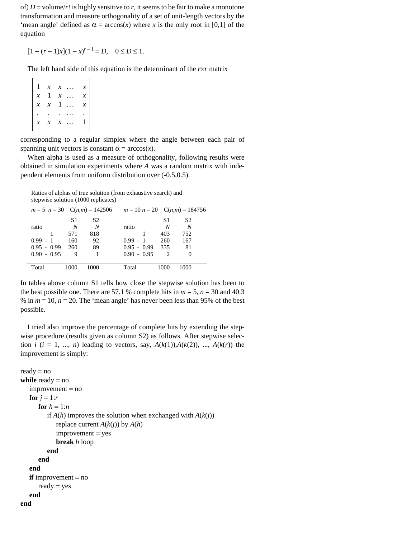of)  $D =$  volume/r! is highly sensitive to *r*, it seems to be fair to make a monotone transformation and measure orthogonality of a set of unit-length vectors by the 'mean angle' defined as  $\alpha = \arccos(x)$  where *x* is the only root in [0,1] of the equation

 $[1 + (r - 1)x](1 - x)^{r - 1} = D, \quad 0 \le D \le 1.$ 

The left hand side of this equation is the determinant of the *r*×*r* matrix

 1 *x x* . . . *x x* 1 *x* . . . *x*  $x \times x = 1$  ... x . . . . . . . *x x x* . . . 1

corresponding to a regular simplex where the angle between each pair of spanning unit vectors is constant  $\alpha = \arccos(x)$ .

 When alpha is used as a measure of orthogonality, following results were obtained in simulation experiments where *A* was a random matrix with independent elements from uniform distribution over (-0.5,0.5).

 Ratios of alphas of true solution (from exhaustive search) and stepwise solution (1000 replicates)

| $m = 5$ $n = 30$ $C(n,m) = 142506$ |     |                | $m = 10 n = 20$ C(n,m) = 184756 |                             |                |  |
|------------------------------------|-----|----------------|---------------------------------|-----------------------------|----------------|--|
|                                    | S1  | S <sub>2</sub> |                                 | S1                          | S <sub>2</sub> |  |
| ratio                              | N   | N              | ratio                           | N                           | N              |  |
|                                    | 571 | 818            |                                 | 403                         | 752            |  |
| $0.99 - 1$                         | 160 | 92             | $0.99 - 1$                      | 260                         | 167            |  |
| $0.95 - 0.99$                      | 260 | 89             | $0.95 - 0.99$                   | 335                         | 81             |  |
| $0.90 - 0.95$                      | 9   |                | $0.90 - 0.95$                   | $\mathcal{D}_{\mathcal{L}}$ | $\Omega$       |  |
|                                    |     |                |                                 |                             |                |  |
| Total                              |     | 1000           | Total                           | 100C                        |                |  |

In tables above column S1 tells how close the stepwise solution has been to the best possible one. There are 57.1 % complete hits in  $m = 5$ ,  $n = 30$  and 40.3 % in  $m = 10$ ,  $n = 20$ . The 'mean angle' has never been less than 95% of the best possible.

 I tried also improve the percentage of complete hits by extending the stepwise procedure (results given as column S2) as follows. After stepwise selection *i* ( $i = 1, \ldots, n$ ) leading to vectors, say,  $A(k(1)), A(k(2)), \ldots, A(k(r))$  the improvement is simply:

```
ready = nowhile ready = no
    improvement = no
  for i = 1:rfor h = 1:nif A(h) improves the solution when exchanged with A(k(i))replace current A(k(i)) by A(h) improvement = yes
             break h loop
          end
       end
   end
   if improvement = no
      ready = yes end
end
```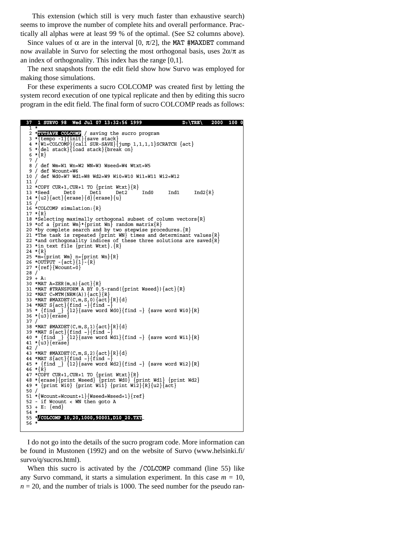This extension (which still is very much faster than exhaustive search) seems to improve the number of complete hits and overall performance. Practically all alphas were at least 99 % of the optimal. (See S2 columns above).

Since values of  $\alpha$  are in the interval [0,  $\pi/2$ ], the MAT #MAXDET command now available in Survo for selecting the most orthogonal basis, uses  $2\alpha/\pi$  as an index of orthogonality. This index has the range [0,1].

 The next snapshots from the edit field show how Survo was employed for making those simulations.

 For these experiments a sucro COLCOMP was created first by letting the system record execution of one typical replicate and then by editing this sucro program in the edit field. The final form of sucro COLCOMP reads as follows:

```
 37 1 SURVO 98 Wed Jul 07 13:32:56 1999 D:\TRE\ 2000 100 0
 1 *
    2 *TUTSAVE COLCOMP / saving the sucro program
 3 *{tempo -1}{init}{save stack}
 4 *{W1=COLCOMP}{call SUR-SAVE}{jump 1,1,1,1}SCRATCH {act}
    5 *{del stack}{load stack}{break on}
   6 * {R} 7 /
 8 / def Wm=W1 Wn=W2 WN=W3 Wseed=W4 Wtxt=W5
 9 / def Wcount=W6
 10 / def Wd0=W7 Wd1=W8 Wd2=W9 Wi0=W10 Wi1=W11 Wi2=W12
   11 /
  12 *COPY CUR+1, CUR+1 TO {print Wtxt} \{R\}<br>13 *Seed Det0 Det1 Det2
  13 *Seed Det0 Det1 Det2 Ind0 Ind1 Ind2\{R\}14 * \{u2\}{act}{erase}{d}{erase}{u}
   15 /
   16 *COLCOMP simulation:{R}
  17 \cdot \{R\}18 *Selecting maximally orthogonal subset of column vectors\{R\}<br>19 *of a \{print Wm\}^*[print Wn] random matrix\{R\} 20 *by complete search and by two stepwise procedures.{R}
   21 *The task is repeated {print WN} times and determinant values{R}
22 *and orthogonality indices of these three solutions are saved\{R\}<br>23 *in text file {print Wtxt}. \{R\} 24 *{R}
 25 *m={print Wm} n={print Wn}{R}
 26 *OUTPUT -{act}{l}-{R}
 27 *{ref}{Wcount=0}
   28 /
  29 + A: 30 *MAT A=ZER(m,n){act}{R}
 31 *MAT #TRANSFORM A BY 0.5-rand({print Wseed}){act}{R}
  32 *MAT C=MTM(NRM(A)) {act}{R}
 33 *MAT #MAXDET(C,m,S,0){act}{R}{d}
 34 *MAT S{act}{find ~}{find ~}
 35 * {find _} {l2}{save word Wd0}{find ~} {save word Wi0}{R}
  36 * \{u3\}{erase}
  \frac{37}{38} \star*MAT #MAXDET(C, m, S, 1) {act} {R}{d}
39 *MAT S{act}{find ~}{find ~}<br>40 * {find } {l2}{save word Wdl}{find ~} {save word Wi1}{R}
  41 * \{u3\} \{er\overline{a}se\}<br>42 /
 42 /
 43 *MAT #MAXDET(C,m,S,2){act}{R}{d}
 44 *MAT S{act}{find ~}{find ~}
 45 * {find _} {l2}{save word Wd2}{find ~} {save word Wi2}{R}
  46 * \{R\} 47 *COPY CUR+1,CUR+1 TO {print Wtxt}{R}
 48 *{erase}{print Wseed} {print Wd0} {print Wd1} {print Wd2}
 49 * {print Wi0} {print Wi1} {print Wi2}{R}{u2}{act}
   50 /
   51 *{Wcount=Wcount+1}{Wseed=Wseed+1}{ref}
   52 - if Wcount < WN then goto A
   53 + E: {end}
  \frac{54}{55} 55 */COLCOMP 10,20,1000,90001,D10_20.TXT 56 *
L
```
 I do not go into the details of the sucro program code. More information can be found in Mustonen (1992) and on the website of Survo (www.helsinki.fi/ survo/q/sucros.html).

When this sucro is activated by the /COLCOMP command (line 55) like any Survo command, it starts a simulation experiment. In this case  $m = 10$ ,  $n = 20$ , and the number of trials is 1000. The seed number for the pseudo ran-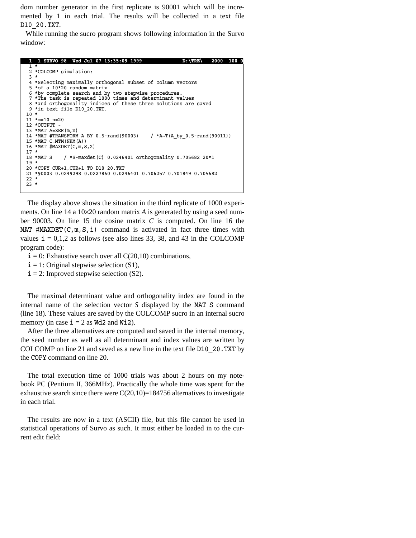dom number generator in the first replicate is 90001 which will be incremented by 1 in each trial. The results will be collected in a text file D10\_20.TXT.

 While running the sucro program shows following information in the Survo window:

|        | 1 1 SURVO 98 Wed Jul 07 13:35:09 1999<br>1000<br>2000<br>$D: \TRE \setminus$ |
|--------|------------------------------------------------------------------------------|
|        | $1 \star$                                                                    |
|        | 2 *COLCOMP simulation:                                                       |
| $3 *$  |                                                                              |
|        | 4 *Selecting maximally orthogonal subset of column vectors                   |
|        | $5 * of a 10 * 20 random matrix$                                             |
|        | 6 *by complete search and by two stepwise procedures.                        |
|        | 7 *The task is repeated 1000 times and determinant values                    |
|        | 8 *and orthogonality indices of these three solutions are saved              |
|        | 9 *in text file D10 20. TXT.                                                 |
| $10 *$ |                                                                              |
|        | $11$ *m=10 n=20                                                              |
|        | 12 *OUTPUT -                                                                 |
|        | 13 *MAT $A=ZER(m,n)$                                                         |
|        | 14 *MAT #TRANSFORM A BY 0.5-rand (90003) / *A~T(A by 0.5-rand (90011))       |
|        | $15$ *MAT C=MTM (NRM (A))                                                    |
|        | 16 *MAT #MAXDET(C, m, S, 2)                                                  |
| $17 *$ |                                                                              |
|        | 18 *MAT S / *S~maxdet (C) 0.0246401 orthogonality 0.705682 20*1              |
| $19 *$ |                                                                              |
|        | 20 *COPY CUR+1, CUR+1 TO D10 20.TXT                                          |
|        | 21 *90003 0.0249298 0.0227860 0.0246401 0.706257 0.701849 0.705682           |
| $22 *$ |                                                                              |
| $23 *$ |                                                                              |

 The display above shows the situation in the third replicate of 1000 experiments. On line 14 a 10×20 random matrix *A* is generated by using a seed number 90003. On line 15 the cosine matrix *C* is computed. On line 16 the MAT #MAXDET( $C, m, S, i$ ) command is activated in fact three times with values  $i = 0,1,2$  as follows (see also lines 33, 38, and 43 in the COLCOMP program code):

- $i = 0$ : Exhaustive search over all C(20,10) combinations,
- $i = 1$ : Original stepwise selection (S1),

 $\mathbb{R}$ 

 $i = 2$ : Improved stepwise selection (S2).

 The maximal determinant value and orthogonality index are found in the internal name of the selection vector *S* displayed by the MAT S command (line 18). These values are saved by the COLCOMP sucro in an internal sucro memory (in case  $i = 2$  as Wd2 and Wi2).

 After the three alternatives are computed and saved in the internal memory, the seed number as well as all determinant and index values are written by COLCOMP on line 21 and saved as a new line in the text file D10\_20.TXT by the COPY command on line 20.

 The total execution time of 1000 trials was about 2 hours on my notebook PC (Pentium II, 366MHz). Practically the whole time was spent for the exhaustive search since there were  $C(20,10)=184756$  alternatives to investigate in each trial.

 The results are now in a text (ASCII) file, but this file cannot be used in statistical operations of Survo as such. It must either be loaded in to the current edit field: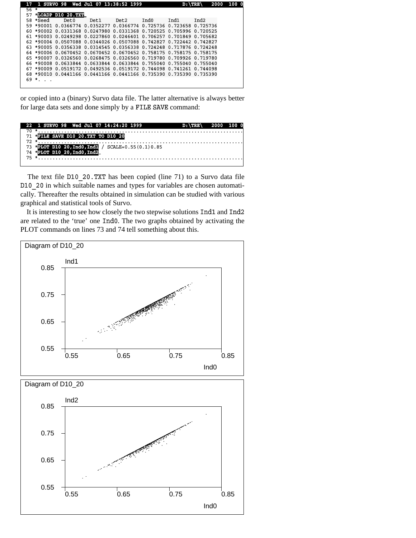|       |          |                          | 1 SURVO 98 Wed Jul 07 13:38:52 1999                                |       |      | $D : \TRE$ |      | 2000 | 0 100 |
|-------|----------|--------------------------|--------------------------------------------------------------------|-------|------|------------|------|------|-------|
| $56*$ |          |                          |                                                                    |       |      |            |      |      |       |
| 57    |          | <b>SLOADP D10 20.TXT</b> |                                                                    |       |      |            |      |      |       |
|       | 58 *Seed | Det0                     | Det <sub>1</sub>                                                   | Det 2 | Ind0 | Ind1       | Ind2 |      |       |
|       |          |                          | 59 *90001 0.0366774 0.0352277 0.0366774 0.725736 0.723658 0.725736 |       |      |            |      |      |       |
|       |          |                          | 60 *90002 0.0331368 0.0247980 0.0331368 0.720525 0.705996 0.720525 |       |      |            |      |      |       |
|       |          |                          | 61 *90003 0.0249298 0.0227860 0.0246401 0.706257 0.701849 0.705682 |       |      |            |      |      |       |
|       |          |                          | 62 *90004 0.0507088 0.0344026 0.0507088 0.742827 0.722442 0.742827 |       |      |            |      |      |       |
|       |          |                          | 63 *90005 0.0356338 0.0314545 0.0356338 0.724248 0.717876 0.724248 |       |      |            |      |      |       |
|       |          |                          | 64 *90006 0.0670452 0.0670452 0.0670452 0.758175 0.758175 0.758175 |       |      |            |      |      |       |
|       |          |                          | 65 *90007 0.0326560 0.0268475 0.0326560 0.719780 0.709926 0.719780 |       |      |            |      |      |       |
|       |          |                          | 66 *90008 0.0633844 0.0633844 0.0633844 0.755040 0.755040 0.755040 |       |      |            |      |      |       |
|       |          |                          | 67 *90009 0.0519172 0.0492536 0.0519172 0.744098 0.741261 0.744098 |       |      |            |      |      |       |
|       |          |                          | 68 *90010 0.0441166 0.0441166 0.0441166 0.735390 0.735390 0.735390 |       |      |            |      |      |       |
|       | 69 *.    |                          |                                                                    |       |      |            |      |      |       |
|       |          |                          |                                                                    |       |      |            |      |      |       |

or copied into a (binary) Survo data file. The latter alternative is always better for large data sets and done simply by a FILE SAVE command:

| 22 1 SURVO 98 Wed Jul 07 14:24:20 1999               | $D:\TRE \ 2000 100 0$ |  |
|------------------------------------------------------|-----------------------|--|
|                                                      |                       |  |
| 71 *FILE SAVE D10 20. TXT TO D10 20                  |                       |  |
|                                                      |                       |  |
| 73 *PLOT D10 20. Ind0. Ind1 / SCALE=0.55 $(0.1)0.85$ |                       |  |
| 74 *PLOT D10_20, Ind0, Ind2                          |                       |  |
|                                                      |                       |  |
|                                                      |                       |  |

The text file  $D10$  20.TXT has been copied (line 71) to a Survo data file D10 20 in which suitable names and types for variables are chosen automatically. Thereafter the results obtained in simulation can be studied with various graphical and statistical tools of Survo.

 It is interesting to see how closely the two stepwise solutions Ind1 and Ind2 are related to the 'true' one Ind0. The two graphs obtained by activating the PLOT commands on lines 73 and 74 tell something about this.

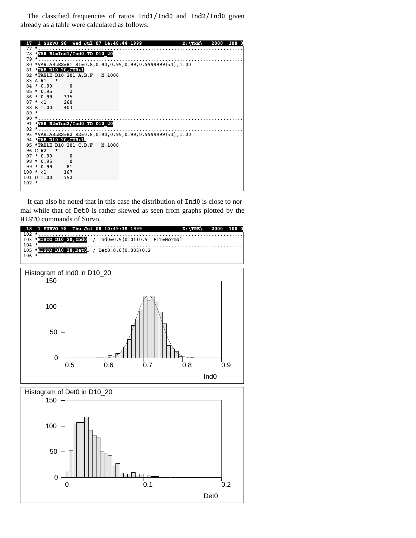The classified frequencies of ratios Ind1/Ind0 and Ind2/Ind0 given already as a table were calculated as follows:

| 17      |                |                                  |        | 1 SURVO 98 Wed Jul 07 14:48:44 1999                             | $D: \TRE$ | 2000 | 100 O |
|---------|----------------|----------------------------------|--------|-----------------------------------------------------------------|-----------|------|-------|
|         | $77 *$         |                                  |        |                                                                 |           |      |       |
|         |                | 78 *VAR R1=Ind1/Ind0 TO D10 20   |        |                                                                 |           |      |       |
|         | $79 *$         |                                  |        |                                                                 |           |      |       |
|         |                |                                  |        | 80 *VARIABLES=R1 R1=0.8, 0.90, 0.95, 0.99, 0.9999999 (<1), 1.00 |           |      |       |
|         |                | 81 TAB D10 20, CUR+1             |        |                                                                 |           |      |       |
|         |                | 82 *TABLE D10 201 A, B, F        | N=1000 |                                                                 |           |      |       |
|         | 83 A R1        | $\pmb{*}$                        |        |                                                                 |           |      |       |
|         | $84 * 0.90$    | $\mathbf 0$                      |        |                                                                 |           |      |       |
|         | $85 * 0.95$    | $\overline{2}$                   |        |                                                                 |           |      |       |
|         | $86 * 0.99$    | 335                              |        |                                                                 |           |      |       |
|         | $87 * < 1$ 260 |                                  |        |                                                                 |           |      |       |
|         | 88 B 1.00 403  |                                  |        |                                                                 |           |      |       |
| $89 *$  |                |                                  |        |                                                                 |           |      |       |
|         | $90$ *         |                                  |        |                                                                 |           |      |       |
|         |                | 91 *VAR R2=Ind2/Ind0 TO D10 20   |        |                                                                 |           |      |       |
|         | $92$ *         |                                  |        |                                                                 |           |      |       |
|         |                |                                  |        | 93 *VARIABLES=R2 R2=0.8,0.90,0.95,0.99,0.9999999(<1),1.00       |           |      |       |
|         |                | 94 *TAB D10 20, CUR+1            |        |                                                                 |           |      |       |
|         |                | 95 *TABLE D10 201 C, D, F N=1000 |        |                                                                 |           |      |       |
|         | 96 C R2        | *                                |        |                                                                 |           |      |       |
|         | $97 * 0.90$    | 0                                |        |                                                                 |           |      |       |
|         | $98 * 0.95$    | $\Omega$                         |        |                                                                 |           |      |       |
|         | $99 * 0.99$    | 81                               |        |                                                                 |           |      |       |
|         | $100 * < 1$    | 167                              |        |                                                                 |           |      |       |
|         | 101 D 1.00     | 752                              |        |                                                                 |           |      |       |
| $102 *$ |                |                                  |        |                                                                 |           |      |       |
|         |                |                                  |        |                                                                 |           |      |       |

 It can also be noted that in this case the distribution of Ind0 is close to normal while that of Det0 is rather skewed as seen from graphs plotted by the HISTO commands of Survo.

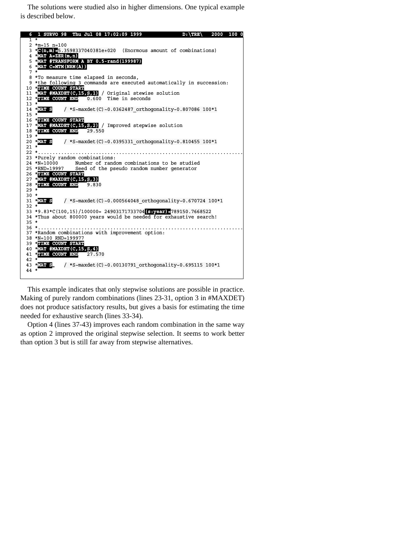The solutions were studied also in higher dimensions. One typical example is described below.



 This example indicates that only stepwise solutions are possible in practice. Making of purely random combinations (lines 23-31, option 3 in #MAXDET) does not produce satisfactory results, but gives a basis for estimating the time needed for exhaustive search (lines 33-34).

 Option 4 (lines 37-43) improves each random combination in the same way as option 2 improved the original stepwise selection. It seems to work better than option 3 but is still far away from stepwise alternatives.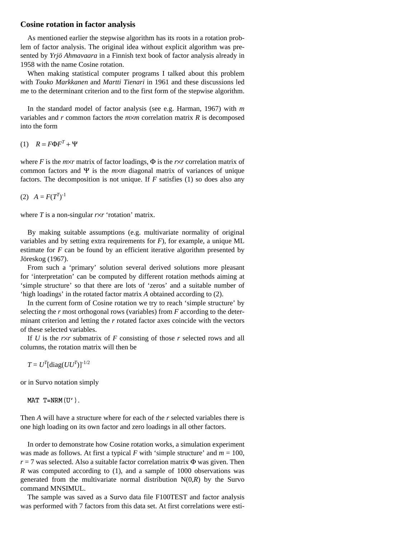## **Cosine rotation in factor analysis**

 As mentioned earlier the stepwise algorithm has its roots in a rotation problem of factor analysis. The original idea without explicit algorithm was presented by *Yrjö Ahmavaara* in a Finnish text book of factor analysis already in 1958 with the name Cosine rotation.

 When making statistical computer programs I talked about this problem with *Touko Markkanen* and *Martti Tienari* in 1961 and these discussions led me to the determinant criterion and to the first form of the stepwise algorithm.

 In the standard model of factor analysis (see e.g. Harman, 1967) with *m* variables and  $r$  common factors the  $m \times m$  correlation matrix  $R$  is decomposed into the form

(1) *R* = *F*Φ*FT* + Ψ

where *F* is the  $m \times r$  matrix of factor loadings,  $\Phi$  is the  $r \times r$  correlation matrix of common factors and Ψ is the *m*×*m* diagonal matrix of variances of unique factors. The decomposition is not unique. If *F* satisfies (1) so does also any

(2)  $A = F(T^T)^{-1}$ 

where *T* is a non-singular *r*×*r* 'rotation' matrix.

 By making suitable assumptions (e.g. multivariate normality of original variables and by setting extra requirements for *F*), for example, a unique ML estimate for *F* can be found by an efficient iterative algorithm presented by Jöreskog (1967).

 From such a 'primary' solution several derived solutions more pleasant for 'interpretation' can be computed by different rotation methods aiming at 'simple structure' so that there are lots of 'zeros' and a suitable number of 'high loadings' in the rotated factor matrix *A* obtained according to (2).

 In the current form of Cosine rotation we try to reach 'simple structure' by selecting the *r* most orthogonal rows (variables) from *F* according to the determinant criterion and letting the *r* rotated factor axes coincide with the vectors of these selected variables.

If  $U$  is the  $r \times r$  submatrix of  $F$  consisting of those  $r$  selected rows and all columns, the rotation matrix will then be

*T* =  $U^T$ [diag( $UU^T$ )]<sup>-1/2</sup>

or in Survo notation simply

MAT  $T=NRM(U')$ .

Then *A* will have a structure where for each of the *r* selected variables there is one high loading on its own factor and zero loadings in all other factors.

 In order to demonstrate how Cosine rotation works, a simulation experiment was made as follows. At first a typical *F* with 'simple structure' and  $m = 100$ ,  $r = 7$  was selected. Also a suitable factor correlation matrix  $\Phi$  was given. Then *R* was computed according to (1), and a sample of 1000 observations was generated from the multivariate normal distribution  $N(0,R)$  by the Survo command MNSIMUL.

 The sample was saved as a Survo data file F100TEST and factor analysis was performed with 7 factors from this data set. At first correlations were esti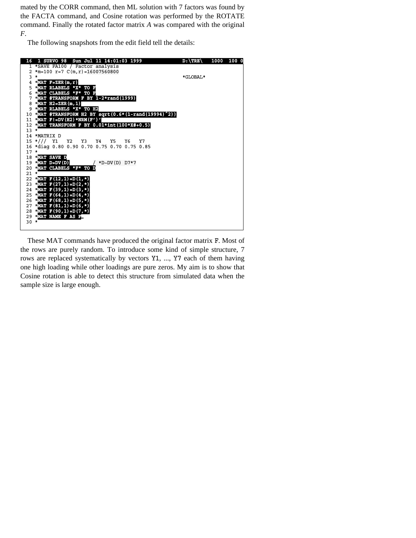mated by the CORR command, then ML solution with 7 factors was found by the FACTA command, and Cosine rotation was performed by the ROTATE command. Finally the rotated factor matrix *A* was compared with the original *F*.

The following snapshots from the edit field tell the details:



 These MAT commands have produced the original factor matrix F. Most of the rows are purely random. To introduce some kind of simple structure, 7 rows are replaced systematically by vectors Y1, ..., Y7 each of them having one high loading while other loadings are pure zeros. My aim is to show that Cosine rotation is able to detect this structure from simulated data when the sample size is large enough.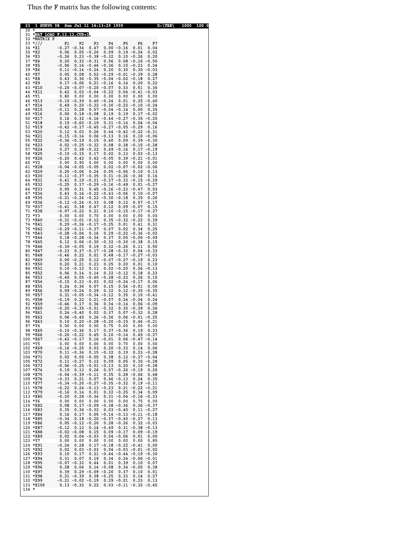Thus the F matrix has the following contents:

| 23      | 1                                 | SURVO 98 Sun Jul 11 14:13:29 1999                                                                                                               | 1000 100 0<br>$D$ : $\{TRE\}$ |
|---------|-----------------------------------|-------------------------------------------------------------------------------------------------------------------------------------------------|-------------------------------|
| 30      |                                   | 31 MAT LOAD F, 12.12, CUR+1                                                                                                                     |                               |
|         | 32 *MATRIX F<br>$33 \frac{*}{11}$ | F3<br>F1<br>F2<br>F4<br>F5<br>F6                                                                                                                | F7                            |
|         | 34 *X1                            | $0.00 - 0.16$<br>$-0.27 - 0.34$<br>0.47<br>0.01                                                                                                 | 0.04                          |
|         | 35 *X2                            | $0.05 - 0.20$<br>0.06<br>0.09<br>$0.19 - 0.24$                                                                                                  | 0.02                          |
|         | 36 *X3<br>37 *X4                  | $0.23 - 0.38 - 0.32$<br>$-0.26$<br>$0.10 - 0.26$<br>$0.08 - 0.16 - 0.50$<br>0.20<br>$0.32 - 0.31$ 0.06                                          | 0.20                          |
|         | 38 *X5                            | $-0.06$ 0.16 $-0.46$ $-0.36$ 0.15 $-0.23$                                                                                                       | 0.24                          |
|         | 39 *X6<br>40 *X7                  | $0.11 - 0.14 - 0.24$ 0.20<br>0.30<br>$0.30 - 0.03$<br>$0.08$ $0.52$ $-0.29$ $-0.01$ $-0.39$<br>0.05                                             | 0.28                          |
|         | 41 *X8                            | $0.36 - 0.35 - 0.04 - 0.02 - 0.18$<br>0.43                                                                                                      | 0.27                          |
|         | 42 *X9                            | $0.17 - 0.06$ $0.21 - 0.16$ $0.14$ $0.20$                                                                                                       | 0.22                          |
|         | 43 *X10<br>44 *X11                | $-0.20 - 0.07 - 0.20 - 0.07$<br>0.51<br>0.33<br>$0.42$ $0.03$ $-0.04$ $-0.22$ $0.04$ $-0.41$ $-0.03$                                            | 0.36                          |
|         | 45 *Y1                            | 0.80<br>0.00<br>0.00<br>0.00<br>0.00<br>0.00                                                                                                    | 0.00                          |
|         | 46 *X13<br>47 *X14                | 0.01<br>$-0.10 - 0.39$ $0.40 - 0.24$<br>$0.25 - 0.40$<br>$0.20 - 0.32 - 0.30 - 0.22 - 0.10 - 0.24$<br>0.49                                      |                               |
|         | 48 *X15                           | $0.28$ $0.57$ $-0.04$ $-0.14$<br>$-0.11$<br>$0.00 \quad 0.35$                                                                                   |                               |
|         | 49 *X16<br>50 *X17                | $0.00$ $0.18 - 0.08$ $0.19$ $0.19$<br>$0.17 - 0.02$                                                                                             |                               |
|         | 51 *X18                           | $0.16$ $0.32$ $-0.16$ $-0.44$ $-0.27$ $-0.35$ $-0.25$<br>$0.19 - 0.60 - 0.19$ $0.31 - 0.14$<br>$0.04 - 0.04$                                    |                               |
|         | 52 *X19                           | $\begin{array}{cccccccc} -0.42 & -0.17 & -0.45 & -0.27 & -0.05 & -0.29 & 0.16 \\ 0.12 & 0.03 & 0.26 & 0.44 & -0.42 & -0.22 & -0.31 \end{array}$ |                               |
|         | 53 *X20<br>54 *X21                | $-0.15 - 0.14$ $0.06 - 0.13$ $0.16$ $0.10 - 0.06$                                                                                               |                               |
|         | 55 *X22                           | $-0.36 - 0.19$ 0.15 0.40 0.09<br>$0.39 - 0.30$                                                                                                  |                               |
|         | 56 *X23<br>57 *X24                | $0.02 - 0.25 - 0.32$ $0.08$ $0.38 - 0.10 - 0.28$<br>$0.27$ $0.38$ $-0.22$ $0.49$ $-0.16$<br>$0.17 - 0.19$                                       |                               |
|         | 58 *X25                           | $-0.10 - 0.15$ 0.17<br>0.02<br>0.13<br>$0.03 - 0.13$                                                                                            |                               |
|         | 59 *X26<br>60 *Y2                 | $-0.20$ 0.42 0.42 $-0.05$ 0.39 $-0.21$ $-0.01$<br>0.00<br>0.90<br>0.00<br>0.00<br>0.00<br>0.00                                                  | 0.00                          |
|         | 61 *X28                           | $-0.04 - 0.05 - 0.05$<br>$0.02 - 0.07 - 0.02 - 0.06$                                                                                            |                               |
|         | 62 *X29<br>63 *X30                | $0.25 - 0.06$ 0.24 0.05 -0.06<br>0.10<br>$-0.11$ $-0.37$ $-0.35$ 0.31 $-0.26$ $-0.36$                                                           | 0.13                          |
|         | 64 *X31                           | $0.19 - 0.21 - 0.27 - 0.33 - 0.15 - 0.29$<br>0.41                                                                                               | 0.16                          |
|         | 65 *X32                           | $-0.25$ $0.17$ $-0.29$ $-0.16$ $-0.48$ $0.01$ $-0.27$                                                                                           |                               |
|         | 66 *X33<br>67 *X34                | $0.05$ $0.31$ $0.45$ $-0.16$ $-0.23$ $-0.47$<br>$0.43$ $0.16$ $-0.22$ $-0.43$ $-0.06$ $0.10$ $-0.07$                                            | 0.03                          |
|         | 68 *X35                           | $-0.21 - 0.24 - 0.22 - 0.30 - 0.18$<br>0.35                                                                                                     | 0.26                          |
|         | 69 *X36<br>70 *X37                | $-0.12$ $-0.24$ $-0.33$ 0.08 0.12<br>$0.57 - 0.17$<br>$0.38$ $0.47$ $0.12$<br>$0.09 - 0.07$<br>$-0.41$                                          | 0.15                          |
|         | 71 *X38                           | $-0.07 - 0.22$ $0.21$ $0.10 - 0.15 - 0.17 - 0.27$                                                                                               |                               |
|         | 72 *Y3<br>73 *X40                 | $0.00 \t 0.00 \t 0.70$<br>0.00 0.00<br>0.00<br>$-0.31 - 0.01 - 0.12$ 0.35 $-0.32 - 0.22$                                                        | 0.00<br>0.39                  |
|         | 74 *X41                           | $0.29 - 0.26 - 0.17 - 0.25$ 0.01<br>0.41                                                                                                        | 0.31                          |
|         | 75 *X42<br>76 *X43                | $-0.29 - 0.11 - 0.37$ 0.07 0.02<br>0.34<br>$-0.28 - 0.04$ 0.16 0.29 $-0.22 - 0.36 - 0.02$                                                       | 0.25                          |
|         | 77 *X44                           | $0.18 - 0.28 - 0.34$ $0.37$ $0.05 - 0.05 - 0.09$                                                                                                |                               |
|         | 78 *X45                           | $0.12$ $0.06$ $-0.30$ $-0.32$ $-0.30$ $-0.38$ 0.15                                                                                              |                               |
|         | 79 *X46<br>80 *X47                | $-0.30 - 0.05$ 0.19 0.32 $-0.26$<br>0.11<br>$-0.23$ $0.37$ $-0.17$ $-0.28$ $-0.32$<br>$0.04 - 0.33$                                             | 0.50                          |
|         | 81 *X48                           | $-0.46$ 0.22 0.01 0.48 $-0.17$ $-0.27$ $-0.03$                                                                                                  |                               |
|         | 82 *X49<br>83 *X50                | $0.00 - 0.25$ $0.12 - 0.07 - 0.27 - 0.19$<br>0.21<br>$0.25$ 0.20<br>0.20<br>0.23<br>0.01                                                        | 0.23<br>0.10                  |
|         | 84 *X51                           | $0.10 - 0.12 0.11$<br>$0.02 - 0.20$ $0.26 - 0.13$                                                                                               |                               |
|         | 85 *X52<br>86 *X53                | $0.06$ $0.14$ $0.14$ $0.32$ $-0.12$<br>0.18<br>$-0.40$ $0.05$ $-0.40$ $-0.28$ $-0.22$<br>0.26                                                   | 0.23<br>0.10                  |
|         | 87 *X54                           | $-0.15$ $0.23$ $-0.03$ $0.02$ $-0.24$ $-0.17$                                                                                                   | 0.06                          |
|         | 88 *X55<br>89 *X56                | $0.24$ 0.36 0.07 0.15<br>$0.56 - 0.01$<br>$0.09 - 0.24$ $0.29$ $0.32$ $0.12 - 0.35 - 0.35$                                                      | 0.00                          |
|         | 90 *X57                           | $0.31 - 0.05 - 0.34 - 0.12$ $0.35$ $0.10 - 0.41$                                                                                                |                               |
|         | 91 *X58<br>92 *X59                | $0.24 - 0.24$<br>$-0.19$ $0.22$ $0.21$ $-0.07$<br>$-0.46$ 0.17 0.36 0.34 $-0.14$<br>$0.06 - 0.09$                                               | 0.24                          |
|         | 93 *X60                           | $-0.20 - 0.35 - 0.01 - 0.32$<br>$0.35 - 0.39$                                                                                                   | 0.26                          |
|         | 94 *X61<br>95 *X62                | $\begin{array}{cccccc} 0.24 & -0.40 & 0.02 & 0.37 & 0.07 & -0.32 & 0.28 \\ 0.06 & -0.45 & 0.26 & -0.36 & 0.06 & -0.01 & -0.25 \end{array}$      |                               |
|         | 96 *X63                           | $0.10$ $0.20$ $-0.28$ $-0.20$ $-0.15$ $0.46$ $-0.21$                                                                                            |                               |
|         | 97 $*Y4$<br>98 *X65               | $0.00 \t 0.00 \t 0.00 \t 0.75 \t 0.00 \t 0.00 \t 0.00$<br>$0.37 - 0.36$<br>0.19<br>$-0.10 - 0.36$<br>0.17                                       | 0.33                          |
|         | 99 *X66                           | $-0.20 - 0.22$<br>0.45<br>$0.10 - 0.14$<br>$0.45 - 0.27$                                                                                        |                               |
|         | 100 *X67                          | $-0.42 - 0.17$<br>$0.16 - 0.01$<br>$0.06 - 0.47 - 0.14$                                                                                         |                               |
|         | 101 *Y5<br>102 *X69               | 0.00<br>0.00<br>0.00<br>0.00<br>0.70<br>0.00<br>0.03<br>$-0.16 - 0.25$<br>$0.20 - 0.33$<br>0.14                                                 | 0.00<br>0.06                  |
|         | 103 *X70                          | $0.11 - 0.34$<br>$0.15 - 0.32$<br>0.19<br>$0.23 - 0.28$                                                                                         |                               |
|         | 104 *X71<br>105 *X72              | $0.02$ $0.00$ $-0.05$<br>0.38<br>$0.12 - 0.27 - 0.04$<br>$0.11 - 0.27$<br>0.12<br>0.09<br>0.05<br>$0.30 - 0.28$                                 |                               |
|         | 106 *X73                          | $-0.06 - 0.25 - 0.01 - 0.13$<br>0.20<br>$0.10 - 0.28$                                                                                           |                               |
|         | 107 *X74<br>108 *X75              | 0.13<br>0.19<br>0.26<br>$0.07 - 0.26 - 0.19$<br>$-0.04 - 0.39 - 0.11$<br>0.35<br>$0.28 - 0.06$                                                  | 0.20<br>0.48                  |
|         | 109 *X76                          | $-0.33$<br>$0.21$ $0.07$<br>$0.46 - 0.13$<br>0.24                                                                                               | 0.35                          |
|         | 110 *X77<br>111 *X78              | $-0.34 - 0.20 - 0.27 - 0.35 - 0.32$<br>$0.19 - 0.11$<br>$-0.22$<br>$0.24 - 0.13 - 0.23$<br>$0.21$ -0.22 -0.21                                   |                               |
|         | 112 *X79                          | $-0.16$<br>$0.14$ $0.01$ $0.32$ $-0.25$<br>0.34                                                                                                 | 0.09                          |
|         | 113 *X80<br>114 *Y6               | $0.28 - 0.34$ $0.31 - 0.04 - 0.16 - 0.33$<br>$-0.20$<br>0.00<br>0.00 0.00<br>0.00<br>0.00<br>0.75                                               | 0.00                          |
|         | 115 *X82                          | $0.17 - 0.09 - 0.38 - 0.36$<br>0.08<br>$0.26 - 0.37$                                                                                            |                               |
|         | 116 *X83<br>117 *X84              | 0.35<br>$0.36 - 0.32$<br>$0.03 - 0.40$<br>$0.11 - 0.27$<br>0.16<br>0.17<br>$0.05 - 0.14 - 0.13 - 0.11 - 0.18$                                   |                               |
|         | 118 *X85                          | $0.18 - 0.20 - 0.37 - 0.40 - 0.27$<br>$-0.34$                                                                                                   | 0.13                          |
|         | 119 *X86                          | $0.05 - 0.12 - 0.20$<br>$0.32 - 0.03$<br>$0.28 - 0.26$                                                                                          |                               |
|         | 120 *X87<br>121 *X88              | 0.12<br>$0.14 - 0.49$<br>$0.31 - 0.38 - 0.13$<br>$-0.12$<br>$-0.02 - 0.08$ 0.15 0.09 $-0.17$<br>$0.09 - 0.19$                                   |                               |
|         | 122 *X89<br>123 *Y7               | 0.02<br>$0.04 - 0.03$ $0.04 - 0.06$<br>0.01<br>0.00                                                                                             | 0.00<br>0.85                  |
|         | 124 *X91                          | 0.00<br>0.00<br>0.00<br>0.00<br>0.00<br>$0.28$ $0.17$ $-0.18$ $-0.22$ $-0.41$<br>$-0.24$                                                        | 0.00                          |
|         | 125 *X92                          | 0.02<br>$0.03 - 0.03$<br>$0.04 - 0.03 - 0.01 - 0.02$                                                                                            |                               |
|         | 126 *X93<br>127 *X94              | $0.17$ $0.21$ $-0.44$ $-0.44$ $-0.19$ $-0.30$<br>0.10<br>0.31<br>$0.07$ $0.19$ $0.34$<br>$0.24 - 0.06 - 0.01$                                   |                               |
|         | 128 *X95                          | $-0.07 - 0.32$<br>0.44<br>0.01<br>0.39<br>0.10                                                                                                  | 0.07                          |
|         | 129 *X96<br>130 *X97              | 0.28<br>0.04<br>$0.14 - 0.08$<br>$0.34 - 0.05$<br>$0.29 - 0.09 - 0.20$<br>0.39<br>0.37<br>0.10                                                  | 0.38<br>0.01                  |
|         | 131 *X98                          | $0.21 - 0.39$ $0.38 - 0.25$<br>0.33<br>0.14                                                                                                     | 0.27                          |
|         | 132 *X99<br>133 *X100             | $-0.21 - 0.02 - 0.19$ 0.29 $-0.01$<br>0.23<br>0.13 -0.32 0.22 0.03 -0.11 -0.32 -0.45                                                            | 0.13                          |
| $134 *$ |                                   |                                                                                                                                                 |                               |
|         |                                   |                                                                                                                                                 |                               |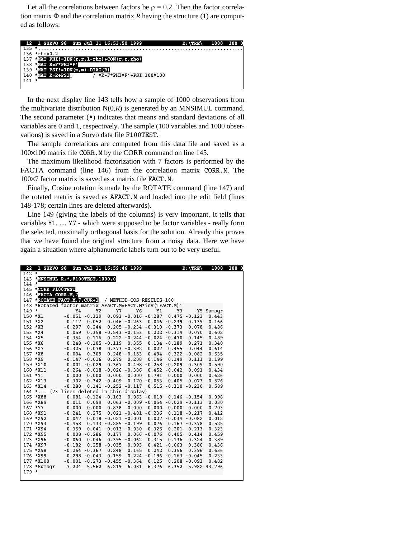Let all the correlations between factors be  $\rho = 0.2$ . Then the factor correlation matrix  $\Phi$  and the correlation matrix *R* having the structure (1) are computed as follows:

|         | 12 1 SURVO 98 Sun Jul 11 16:53:50 1999               | $D: \TRE$ | 1000 100 0 |
|---------|------------------------------------------------------|-----------|------------|
| $135 *$ |                                                      |           |            |
|         | $136 *rho=0.2$                                       |           |            |
|         | 137 SMAT PHI!=IDN $(r, r, 1$ -rho)+CON $(r, r,$ rho) |           |            |
| 138     | EMAT R=F*PHI*F'                                      |           |            |
|         | 139 $*$ MAT PSI!=IDN(m,m)-DIAG(R)                    |           |            |
| 140     | <b>EMAT R=R+PSI</b><br>*R~F*PHI*F'+PSI 100*100       |           |            |
| $141 *$ |                                                      |           |            |
|         |                                                      |           |            |

 In the next display line 143 tells how a sample of 1000 observations from the multivariate distribution  $N(0,R)$  is generated by an MNSIMUL command. The second parameter (\*) indicates that means and standard deviations of all variables are 0 and 1, respectively. The sample (100 variables and 1000 observations) is saved in a Survo data file F100TEST.

 The sample correlations are computed from this data file and saved as a 100×100 matrix file CORR.M by the CORR command on line 145.

 The maximum likelihood factorization with 7 factors is performed by the FACTA command (line 146) from the correlation matrix CORR.M. The 100×7 factor matrix is saved as a matrix file FACT.M.

 Finally, Cosine rotation is made by the ROTATE command (line 147) and the rotated matrix is saved as AFACT.M and loaded into the edit field (lines 148-178; certain lines are deleted afterwards).

 Line 149 (giving the labels of the columns) is very important. It tells that variables Y1, ..., Y7 - which were supposed to be factor variables - really form the selected, maximally orthogonal basis for the solution. Already this proves that we have found the original structure from a noisy data. Here we have again a situation where alphanumeric labels turn out to be very useful.

| 22      | 1 SURVO 98                                              |                                    |                | Sun Jul 11 16:59:46 1999     |                                                                                               |       |                          | $D:\TRE$        | 1000           | 1000 |
|---------|---------------------------------------------------------|------------------------------------|----------------|------------------------------|-----------------------------------------------------------------------------------------------|-------|--------------------------|-----------------|----------------|------|
| $142$ * |                                                         |                                    |                |                              |                                                                                               |       |                          |                 |                |      |
|         | 143 *MNSIMUL R, *, F100TEST, 1000, 0                    |                                    |                |                              |                                                                                               |       |                          |                 |                |      |
| $144 *$ |                                                         |                                    |                |                              |                                                                                               |       |                          |                 |                |      |
|         | 145 *CORR F100TEST                                      |                                    |                |                              |                                                                                               |       |                          |                 |                |      |
|         | 146 *FACTA CORR.M, 7                                    |                                    |                |                              |                                                                                               |       |                          |                 |                |      |
|         | 147 *ROTATE FACT.M, 7, CUR+1 / METHOD=COS RESULTS=100   |                                    |                |                              |                                                                                               |       |                          |                 |                |      |
|         | 148 *Rotated factor matrix AFACT.M=FACT.M*inv(TFACT.M)' |                                    |                |                              |                                                                                               |       |                          |                 |                |      |
| $149 *$ |                                                         | Y4                                 | Y <sub>2</sub> | Y7                           | Y6                                                                                            | Y1    | Y3                       |                 | Y5 Sumsqr      |      |
|         | 150 *X1                                                 |                                    |                |                              | $-0.051$ $-0.329$ 0.093 $-0.016$ $-0.287$                                                     |       |                          | $0.475 - 0.123$ | 0.443          |      |
|         | 151 *X2                                                 | 0.117                              |                |                              | $0.052$ $0.046$ $-0.263$                                                                      |       | $0.046 - 0.239$          | 0.139           | 0.166          |      |
|         | $152 * X3$                                              | $-0.297$                           |                |                              | $0.244$ $0.205$ $-0.234$ $-0.310$ $-0.373$ $0.078$                                            |       |                          |                 | 0.486          |      |
|         | $153 * X4$                                              |                                    |                |                              | $0.059$ $0.358$ $-0.543$ $-0.153$ $0.222$ $-0.314$ $0.070$                                    |       |                          |                 | 0.602          |      |
|         | 154 *X5                                                 |                                    |                |                              | $-0.354$ 0.116 0.222 $-0.244$ $-0.024$ $-0.470$ 0.145                                         |       |                          |                 | 0.489          |      |
|         | 155 *X6                                                 |                                    |                |                              | $0.248 - 0.105 - 0.119$ 0.355 0.134 -0.189 0.271                                              |       |                          |                 | 0.340          |      |
|         | 156 *X7                                                 | $-0.325$                           |                |                              | $0.078$ $0.373$ $-0.392$ $0.027$ $0.455$                                                      |       |                          | 0.044           | 0.614          |      |
|         | 157 *X8                                                 | $-0.004$                           |                |                              | $0.309$ $0.248$ $-0.153$ $0.494$ $-0.322$ $-0.082$                                            |       |                          |                 | 0.535          |      |
|         | 158 *X9                                                 |                                    |                |                              | $-0.147 - 0.016$ 0.279 0.208 0.146                                                            |       | 0.149                    | 0.111           | 0.199          |      |
|         | 159 *X10                                                |                                    |                |                              | $0.001 - 0.029$ $0.367$ $0.498 - 0.258 - 0.209$                                               |       |                          | 0.309           | 0.590          |      |
|         | 160 *X11                                                |                                    |                |                              | $-0.264$ $-0.018$ $-0.026$ $-0.386$ 0.452 $-0.042$                                            |       |                          | 0.091           | 0.434          |      |
|         | $161 * Y1$                                              | 0.000                              |                | $0.000$ $0.000$ $0.000$      |                                                                                               |       | $0.791$ $0.000$ $0.000$  |                 | 0.626          |      |
|         | 162 *X13                                                |                                    |                |                              | $-0.302 -0.342 -0.409$ 0.170 $-0.053$ 0.405                                                   |       |                          | 0.073           | 0.576          |      |
|         | 163 *X14                                                | $-0.280$                           |                |                              | $0.141 - 0.252 - 0.117$ $0.515 - 0.310 - 0.230$                                               |       |                          |                 | 0.589          |      |
|         | $164$ *                                                 | (73 lines deleted in this display) |                |                              |                                                                                               |       |                          |                 |                |      |
|         | 165 *X88                                                |                                    |                |                              | $0.081 - 0.124 - 0.163$ 0.063 -0.018 0.146 -0.154                                             |       |                          |                 | 0.098          |      |
|         | 166 *X89                                                | 0.011                              |                |                              | $0.099$ 0.063 -0.009 -0.054 -0.029 -0.113                                                     |       |                          |                 | 0.030          |      |
|         | 167 *Y7                                                 | 0.000                              |                |                              | $0.000$ $0.838$ $0.000$ $0.000$ $0.000$                                                       |       |                          | 0.000           | 0.703          |      |
|         | 168 *X91<br>169 *X92                                    | $-0.241$                           |                |                              | $0.275$ $0.021$ $-0.401$ $-0.236$ $0.118$ $-0.217$                                            |       |                          |                 | 0.412          |      |
|         | 170 *X93                                                | 0.047                              |                |                              | $0.018 - 0.021 - 0.001$ $0.027 - 0.034 - 0.082$<br>$0.133 - 0.285 - 0.199$ 0.076 0.167 -0.378 |       |                          |                 | 0.012          |      |
|         | 171 *X94                                                | $-0.458$<br>0.359                  |                |                              | $0.041 - 0.013 - 0.030$ $0.325$ $0.201$                                                       |       |                          | 0.213           | 0.525<br>0.323 |      |
|         | 172 *X95                                                |                                    |                |                              | $0.008 - 0.286$ $0.177$ $0.066 - 0.076$                                                       |       | 0.405                    | 0.414           | 0.459          |      |
|         | 173 *X96                                                | $-0.060$                           |                |                              | $0.046$ $0.395 -0.062$ $0.315$                                                                |       | 0.136                    | 0.324           | 0.389          |      |
|         | 174 *X97                                                | $-0.182$                           |                | $0.258 - 0.035$              |                                                                                               |       | $0.093$ $0.421$ $-0.063$ | 0.380           | 0.436          |      |
|         | 175 *X98                                                |                                    |                | $-0.264 - 0.367$ 0.248 0.165 |                                                                                               | 0.242 | 0.356                    | 0.396           | 0.636          |      |
|         | 176 *X99                                                |                                    |                |                              | $0.298 - 0.043$ $0.159$ $0.224 - 0.196 - 0.163 - 0.045$                                       |       |                          |                 | 0.233          |      |
|         | 177 *X100                                               |                                    |                |                              | $-0.001$ $-0.273$ $-0.455$ $-0.364$ 0.125                                                     |       |                          | $0.208 - 0.093$ | 0.482          |      |
|         | 178 *Sumsqr                                             | 7.224                              | 5.562          |                              | 6.219 6.081                                                                                   | 6.376 | 6.352                    |                 | 5.982 43.796   |      |
| $179 *$ |                                                         |                                    |                |                              |                                                                                               |       |                          |                 |                |      |
|         |                                                         |                                    |                |                              |                                                                                               |       |                          |                 |                |      |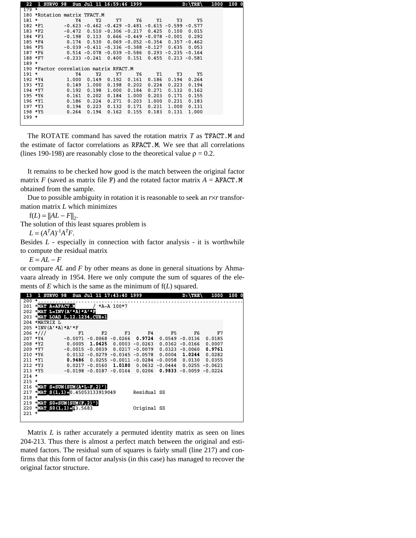| $\sqrt{22}$ | 1 SURVO 98 Sun Jul 11 16:59:46 1999    |          |       |               |                                                                |           |       | $D: \TRE$       | 1000 | 100 0 |
|-------------|----------------------------------------|----------|-------|---------------|----------------------------------------------------------------|-----------|-------|-----------------|------|-------|
| $179 *$     |                                        |          |       |               |                                                                |           |       |                 |      |       |
|             | 180 *Rotation matrix TFACT.M           |          |       |               |                                                                |           |       |                 |      |       |
| $181 *$     |                                        | Y4       | Y2    | Y7            | Y6                                                             | <b>Y1</b> | Y3    | Y5              |      |       |
|             | 182 *F1                                |          |       |               | $-0.623$ $-0.462$ $-0.429$ $-0.481$ $-0.615$ $-0.599$ $-0.577$ |           |       |                 |      |       |
|             | $183 * F2$                             | $-0.472$ |       |               | $0.510 - 0.306 - 0.217$                                        | 0.425     | 0.100 | 0.015           |      |       |
|             | 184 *F3                                | $-0.198$ |       |               | $0.113$ $0.666$ $-0.449$ $-0.078$ $-0.001$                     |           |       | 0.292           |      |       |
|             | 185 *F4                                | 0.174    |       |               | $0.530$ $0.069$ $-0.052$ $-0.354$ $0.357$ $-0.462$             |           |       |                 |      |       |
|             | 186 *F5                                |          |       |               | $-0.039$ $-0.411$ $-0.336$ $-0.388$ $-0.127$ 0.635             |           |       | 0.053           |      |       |
|             | 187 *F6                                |          |       |               | $0.514$ -0.078 -0.039 -0.586 0.293 -0.235 -0.164               |           |       |                 |      |       |
|             | 188 *F7                                |          |       |               | $-0.233 - 0.241$ $0.400$ $0.151$ $0.455$                       |           |       | $0.213 - 0.581$ |      |       |
| $189 *$     |                                        |          |       |               |                                                                |           |       |                 |      |       |
|             | 190 *Factor correlation matrix RFACT.M |          |       |               |                                                                |           |       |                 |      |       |
| $191 *$     |                                        | Y4       | Y2    | Y7            | Y6                                                             | Y1        | Y3    | Y5              |      |       |
|             | 192 *Y4                                | 1.000    |       | $0.149$ 0.192 | 0.161                                                          | 0.186     | 0.194 | 0.264           |      |       |
|             | 193 *Y2                                | 0.149    | 1.000 | 0.198         | 0.202                                                          | 0.224     | 0.223 | 0.194           |      |       |
|             | 194 *Y7                                | 0.192    |       | $0.198$ 1.000 | 0.184                                                          | 0.271     | 0.132 | 0.162           |      |       |
|             | 195 *Y6                                | 0.161    | 0.202 | 0.184         | 1.000                                                          | 0.203     | 0.171 | 0.155           |      |       |
|             | 196 *Y1                                | 0.186    | 0.224 | 0.271         | 0.203                                                          | 1.000     | 0.231 | 0.183           |      |       |
|             | 197 *Y3                                | 0.194    | 0.223 | 0.132         | 0.171                                                          | 0.231     | 1.000 | 0.131           |      |       |
|             | 198 *Y5                                | 0.264    | 0.194 | 0.162         | 0.155                                                          | 0.183     | 0.131 | 1.000           |      |       |
| 199 *       |                                        |          |       |               |                                                                |           |       |                 |      |       |
|             |                                        |          |       |               |                                                                |           |       |                 |      |       |

 The ROTATE command has saved the rotation matrix *T* as TFACT.M and the estimate of factor correlations as RFACT.M. We see that all correlations (lines 190-198) are reasonably close to the theoretical value  $\rho = 0.2$ .

 It remains to be checked how good is the match between the original factor matrix  $F$  (saved as matrix file F) and the rotated factor matrix  $A = AFACT \cdot M$ obtained from the sample.

 Due to possible ambiguity in rotation it is reasonable to seek an *r*×*r* transformation matrix *L* which minimizes

 $f(L) = ||AL - F||_2.$ 

The solution of this least squares problem is

 $L = (A^T A)^{-1} A^T F$ .

Besides *L* - especially in connection with factor analysis - it is worthwhile to compute the residual matrix

 $E = AL - F$ 

or compare *AL* and *F* by other means as done in general situations by Ahmavaara already in 1954. Here we only compute the sum of squares of the elements of *E* which is the same as the minimum of  $f(L)$  squared.

| 13      |                                  |    | 1 SURVO 98 Sun Jul 11 17:43:40 1999                             |              |             |     | $D$ : $\TRE$      | 1000   | 100 0 |
|---------|----------------------------------|----|-----------------------------------------------------------------|--------------|-------------|-----|-------------------|--------|-------|
| 200     | $\cdots$                         |    |                                                                 |              |             |     |                   |        |       |
| 201     | <b>EMAT A=AFACT.M</b>            |    |                                                                 | / *A~A 100*7 |             |     |                   |        |       |
| 202     | $EMAT$ L=INV(A'*A)*A'*F          |    |                                                                 |              |             |     |                   |        |       |
| 203     | CMAT LOAD L, 12.1234, CUR+1      |    |                                                                 |              |             |     |                   |        |       |
|         | 204 *MATRIX L                    |    |                                                                 |              |             |     |                   |        |       |
|         | $205 * INV(A'*A)*A'*F$           |    |                                                                 |              |             |     |                   |        |       |
|         | $206$ *///                       | F1 | F2                                                              | F3           | F4          | F5. | F6                | F7     |       |
|         | 207 *Y4                          |    | $-0.0071$ $-0.0068$ $-0.0266$ 0.9724                            |              |             |     | $0.0549 - 0.0136$ | 0.0185 |       |
|         | 208 *Y2                          |    | $0.0005$ 1.0425 0.0003 -0.0263 0.0362 -0.0166                   |              |             |     |                   | 0.0007 |       |
|         | 209 *Y7                          |    | $-0.0015$ $-0.0039$ 0.0217 $-0.0079$ 0.0323 $-0.0060$           |              |             |     |                   | 0.9761 |       |
|         | 210 *Y6                          |    | $0.0132 - 0.0279 - 0.0345 - 0.0578$ 0.0004 1.0244               |              |             |     |                   | 0.0282 |       |
|         | 211 *Y1                          |    | $0.9486$ 0.0255 -0.0011 -0.0284 -0.0058 0.0130 0.0355           |              |             |     |                   |        |       |
|         | $212 * Y3$                       |    | $0.0217 - 0.0160$ 1.0180 0.0632 -0.0444 0.0255 -0.0621          |              |             |     |                   |        |       |
|         | $213 * Y5$                       |    | $-0.0198$ $-0.0187$ $-0.0164$ 0.0206 0.9833 $-0.0059$ $-0.0224$ |              |             |     |                   |        |       |
| $214$ * |                                  |    |                                                                 |              |             |     |                   |        |       |
| $215 *$ |                                  |    |                                                                 |              |             |     |                   |        |       |
| 216     | $CMAT$ S=SUM(SUM(A*L-F,2)')      |    |                                                                 |              |             |     |                   |        |       |
| 217     | *MAT $S(1,1) = 0.45053133919049$ |    |                                                                 |              | Residual SS |     |                   |        |       |
| $218 *$ |                                  |    |                                                                 |              |             |     |                   |        |       |
| 219     | CMAT $SO=SUM(SUM(F, 2)')$        |    |                                                                 |              |             |     |                   |        |       |
| 220     | *MAT $SO(1,1) = 43.5683$         |    |                                                                 |              | Original SS |     |                   |        |       |
| $221$ * |                                  |    |                                                                 |              |             |     |                   |        |       |
|         |                                  |    |                                                                 |              |             |     |                   |        |       |

 Matrix *L* is rather accurately a permuted identity matrix as seen on lines 204-213. Thus there is almost a perfect match between the original and estimated factors. The residual sum of squares is fairly small (line 217) and confirms that this form of factor analysis (in this case) has managed to recover the original factor structure.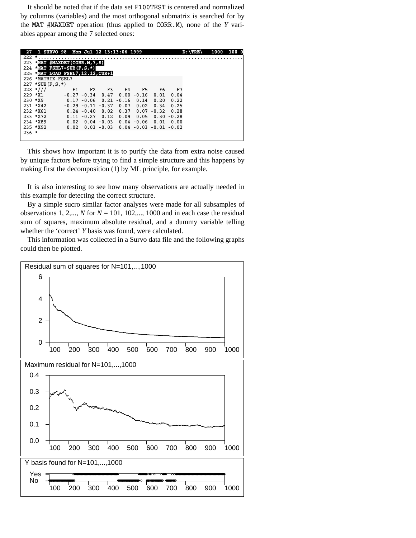It should be noted that if the data set F100TEST is centered and normalized by columns (variables) and the most orthogonal submatrix is searched for by the MAT #MAXDET operation (thus applied to CORR.M), none of the *Y* variables appear among the 7 selected ones:

| 27         | 1 SURVO 98 Mon Jul 12 13:13:06 1999 |      |                       |               |         |                             |               |               | $D: \TRE$ | 1000 | 100 0 |
|------------|-------------------------------------|------|-----------------------|---------------|---------|-----------------------------|---------------|---------------|-----------|------|-------|
| 222        | *                                   |      |                       |               |         |                             |               |               |           |      |       |
| 223        | $CMAT$ #MAXDET (CORR.M.7.S)         |      |                       |               |         |                             |               |               |           |      |       |
|            | 224 EMAT FSEL7=SUB $(F, S, *)$      |      |                       |               |         |                             |               |               |           |      |       |
|            | 225 EMAT LOAD FSEL7, 12.12, CUR+1   |      |                       |               |         |                             |               |               |           |      |       |
| 226        | *MATRIX FSEL7                       |      |                       |               |         |                             |               |               |           |      |       |
|            | $227 * SUB(F.S.*)$                  |      |                       |               |         |                             |               |               |           |      |       |
|            | $228$ *///                          | F1   | F2                    | F3            | F4      | F5                          | F6            | F7            |           |      |       |
| $229$ *X1  |                                     |      | $-0.27 - 0.34$ 0.47   |               |         | $0.00 - 0.16$               | 0.01          | 0.04          |           |      |       |
| $230 * X9$ |                                     |      | $0.17 - 0.06$ 0.21    |               | $-0.16$ | 0.14                        | 0.20          | 0.22          |           |      |       |
|            | $231$ *X42                          |      | $-0.29 - 0.11 - 0.37$ |               | 0.07    | 0.02                        | 0.34          | 0.25          |           |      |       |
|            | $232 * X61$                         |      | $0.24 - 0.40$         | 0.02          | 0.37    |                             | $0.07 - 0.32$ | 0.28          |           |      |       |
|            | 233 *X72                            |      | $0.11 - 0.27$         | 0.12          | 0.09    | 0.05                        |               | $0.30 - 0.28$ |           |      |       |
|            | 234 *X89                            | 0.02 |                       | $0.04 - 0.03$ |         | $0.04 - 0.06$               | 0.01          | 0.00          |           |      |       |
|            | 235 *X92                            | 0.02 |                       | $0.03 - 0.03$ |         | $0.04 - 0.03 - 0.01 - 0.02$ |               |               |           |      |       |
| $236 *$    |                                     |      |                       |               |         |                             |               |               |           |      |       |
|            |                                     |      |                       |               |         |                             |               |               |           |      |       |

 This shows how important it is to purify the data from extra noise caused by unique factors before trying to find a simple structure and this happens by making first the decomposition (1) by ML principle, for example.

 It is also interesting to see how many observations are actually needed in this example for detecting the correct structure.

 By a simple sucro similar factor analyses were made for all subsamples of observations 1, 2,...,  $N$  for  $N = 101$ , 102,..., 1000 and in each case the residual sum of squares, maximum absolute residual, and a dummy variable telling whether the 'correct' *Y* basis was found, were calculated.

 This information was collected in a Survo data file and the following graphs could then be plotted.

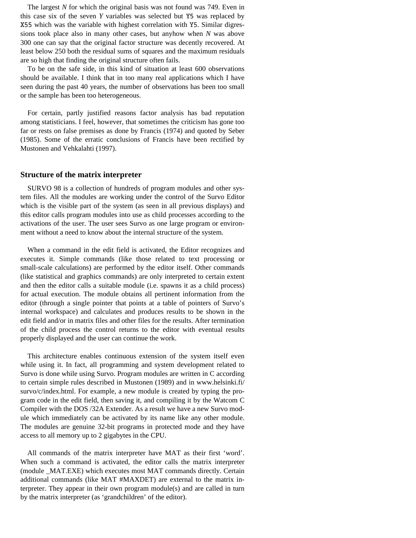The largest *N* for which the original basis was not found was 749. Even in this case six of the seven *Y* variables was selected but Y5 was replaced by X55 which was the variable with highest correlation with Y5. Similar digressions took place also in many other cases, but anyhow when *N* was above 300 one can say that the original factor structure was decently recovered. At least below 250 both the residual sums of squares and the maximum residuals are so high that finding the original structure often fails.

 To be on the safe side, in this kind of situation at least 600 observations should be available. I think that in too many real applications which I have seen during the past 40 years, the number of observations has been too small or the sample has been too heterogeneous.

 For certain, partly justified reasons factor analysis has bad reputation among statisticians. I feel, however, that sometimes the criticism has gone too far or rests on false premises as done by Francis (1974) and quoted by Seber (1985). Some of the erratic conclusions of Francis have been rectified by Mustonen and Vehkalahti (1997).

#### **Structure of the matrix interpreter**

 SURVO 98 is a collection of hundreds of program modules and other system files. All the modules are working under the control of the Survo Editor which is the visible part of the system (as seen in all previous displays) and this editor calls program modules into use as child processes according to the activations of the user. The user sees Survo as one large program or environment without a need to know about the internal structure of the system.

 When a command in the edit field is activated, the Editor recognizes and executes it. Simple commands (like those related to text processing or small-scale calculations) are performed by the editor itself. Other commands (like statistical and graphics commands) are only interpreted to certain extent and then the editor calls a suitable module (i.e. spawns it as a child process) for actual execution. The module obtains all pertinent information from the editor (through a single pointer that points at a table of pointers of Survo's internal workspace) and calculates and produces results to be shown in the edit field and/or in matrix files and other files for the results. After termination of the child process the control returns to the editor with eventual results properly displayed and the user can continue the work.

 This architecture enables continuous extension of the system itself even while using it. In fact, all programming and system development related to Survo is done while using Survo. Program modules are written in C according to certain simple rules described in Mustonen (1989) and in www.helsinki.fi/ survo/c/index.html. For example, a new module is created by typing the program code in the edit field, then saving it, and compiling it by the Watcom C Compiler with the DOS /32A Extender. As a result we have a new Survo module which immediately can be activated by its name like any other module. The modules are genuine 32-bit programs in protected mode and they have access to all memory up to 2 gigabytes in the CPU.

 All commands of the matrix interpreter have MAT as their first 'word'. When such a command is activated, the editor calls the matrix interpreter (module \_MAT.EXE) which executes most MAT commands directly. Certain additional commands (like MAT #MAXDET) are external to the matrix interpreter. They appear in their own program module(s) and are called in turn by the matrix interpreter (as 'grandchildren' of the editor).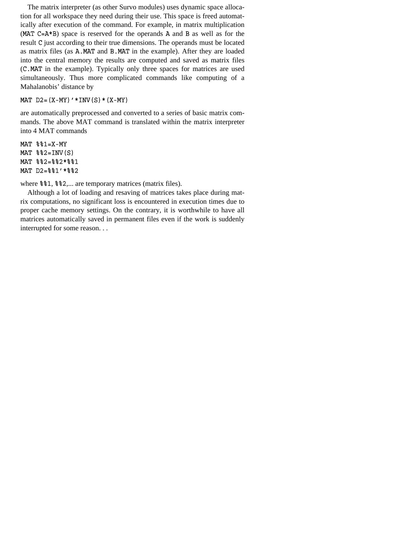The matrix interpreter (as other Survo modules) uses dynamic space allocation for all workspace they need during their use. This space is freed automatically after execution of the command. For example, in matrix multiplication ( $MAT C=A*B$ ) space is reserved for the operands A and B as well as for the result C just according to their true dimensions. The operands must be located as matrix files (as A.MAT and B.MAT in the example). After they are loaded into the central memory the results are computed and saved as matrix files (C.MAT in the example). Typically only three spaces for matrices are used simultaneously. Thus more complicated commands like computing of a Mahalanobis' distance by

#### MAT  $D2 = (X-MY)' * INV(S) * (X-MY)$

are automatically preprocessed and converted to a series of basic matrix commands. The above MAT command is translated within the matrix interpreter into 4 MAT commands

 $MAT$  %%1=X-MY  $MAT$   $\$   $\$   $2=INV(S)$ MAT %%2=%%2\*%%1 MAT D2=%%1'\*%%2

where  $82, \ldots$  are temporary matrices (matrix files).

 Although a lot of loading and resaving of matrices takes place during matrix computations, no significant loss is encountered in execution times due to proper cache memory settings. On the contrary, it is worthwhile to have all matrices automatically saved in permanent files even if the work is suddenly interrupted for some reason. . .